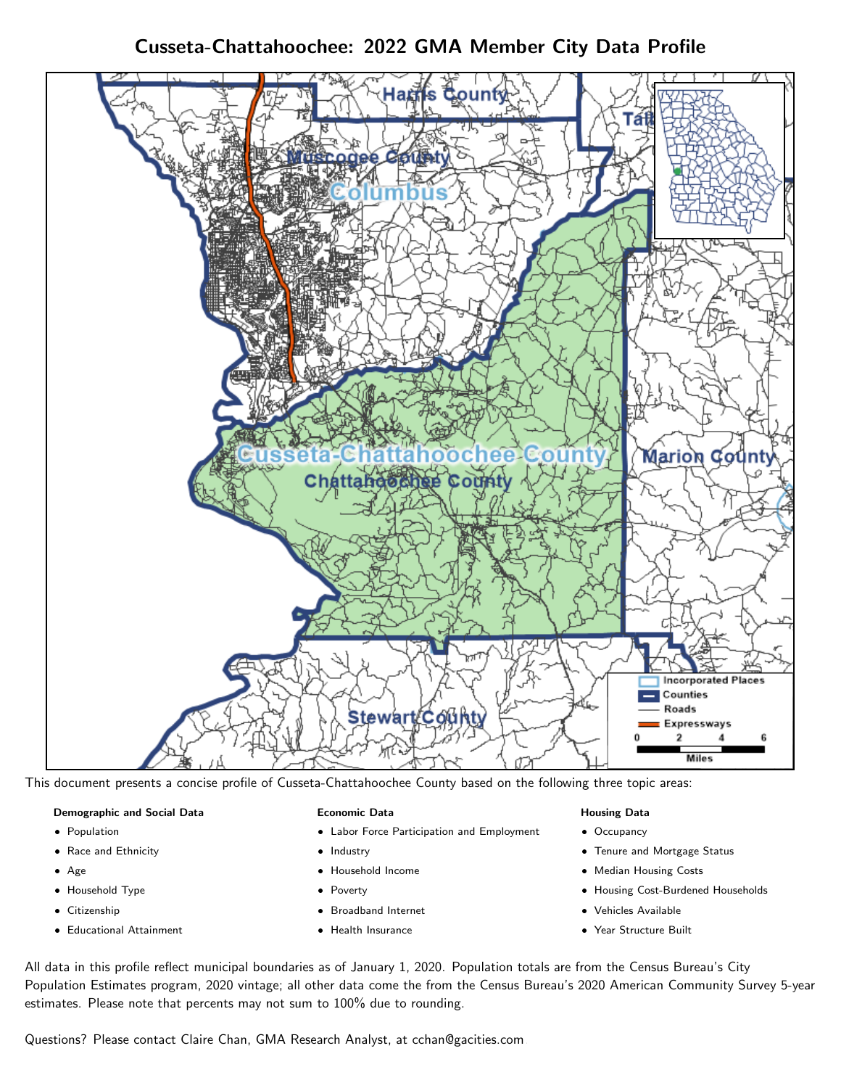Cusseta-Chattahoochee: 2022 GMA Member City Data Profile



This document presents a concise profile of Cusseta-Chattahoochee County based on the following three topic areas:

### Demographic and Social Data

- **•** Population
- Race and Ethnicity
- Age
- Household Type
- **Citizenship**
- Educational Attainment

#### Economic Data

- Labor Force Participation and Employment
- Industry
- Household Income
- Poverty
- Broadband Internet
- Health Insurance

### Housing Data

- Occupancy
- Tenure and Mortgage Status
- Median Housing Costs
- Housing Cost-Burdened Households
- Vehicles Available
- Year Structure Built

All data in this profile reflect municipal boundaries as of January 1, 2020. Population totals are from the Census Bureau's City Population Estimates program, 2020 vintage; all other data come the from the Census Bureau's 2020 American Community Survey 5-year estimates. Please note that percents may not sum to 100% due to rounding.

Questions? Please contact Claire Chan, GMA Research Analyst, at [cchan@gacities.com.](mailto:cchan@gacities.com)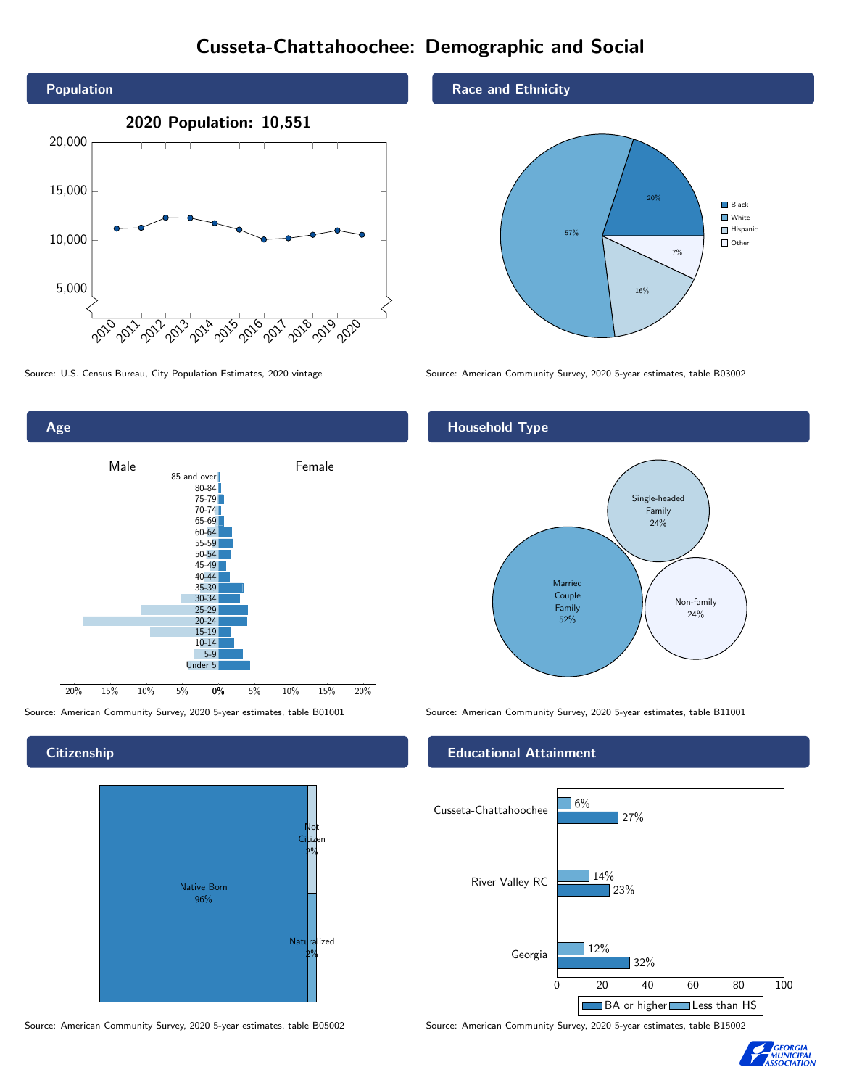# Cusseta-Chattahoochee: Demographic and Social







### **Citizenship**



Source: American Community Survey, 2020 5-year estimates, table B05002 Source: American Community Survey, 2020 5-year estimates, table B15002

Race and Ethnicity



Source: U.S. Census Bureau, City Population Estimates, 2020 vintage Source: American Community Survey, 2020 5-year estimates, table B03002

### Household Type



### Educational Attainment



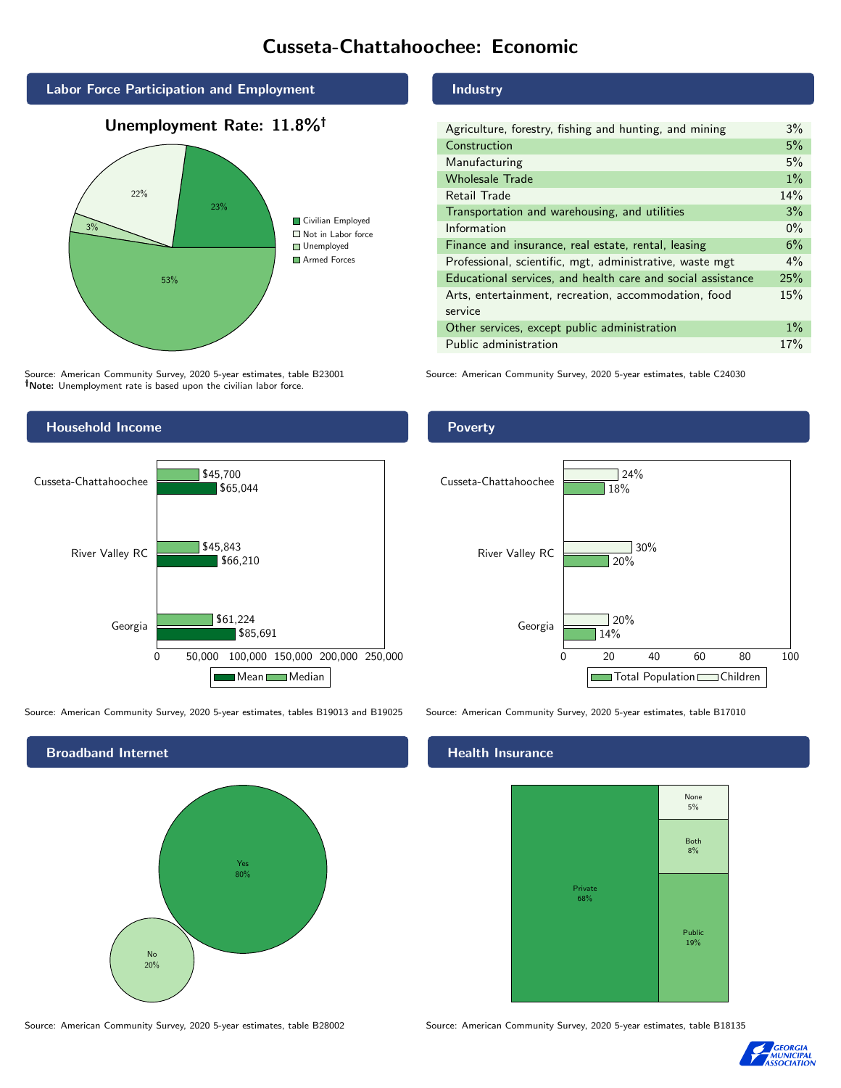# Cusseta-Chattahoochee: Economic



### Unemployment Rate: 11.8%



Source: American Community Survey, 2020 5-year estimates, table B23001 Note: Unemployment rate is based upon the civilian labor force.



Source: American Community Survey, 2020 5-year estimates, tables B19013 and B19025 Source: American Community Survey, 2020 5-year estimates, table B17010



### Industry

| Agriculture, forestry, fishing and hunting, and mining      | $3\%$ |
|-------------------------------------------------------------|-------|
| Construction                                                | 5%    |
| Manufacturing                                               | 5%    |
| <b>Wholesale Trade</b>                                      | $1\%$ |
| Retail Trade                                                | 14%   |
| Transportation and warehousing, and utilities               | 3%    |
| Information                                                 | $0\%$ |
| Finance and insurance, real estate, rental, leasing         | 6%    |
| Professional, scientific, mgt, administrative, waste mgt    | $4\%$ |
| Educational services, and health care and social assistance | 25%   |
| Arts, entertainment, recreation, accommodation, food        | 15%   |
| service                                                     |       |
| Other services, except public administration                | $1\%$ |
| Public administration                                       | 17%   |

Source: American Community Survey, 2020 5-year estimates, table C24030

### Poverty



### Health Insurance



Source: American Community Survey, 2020 5-year estimates, table B28002 Source: American Community Survey, 2020 5-year estimates, table B18135